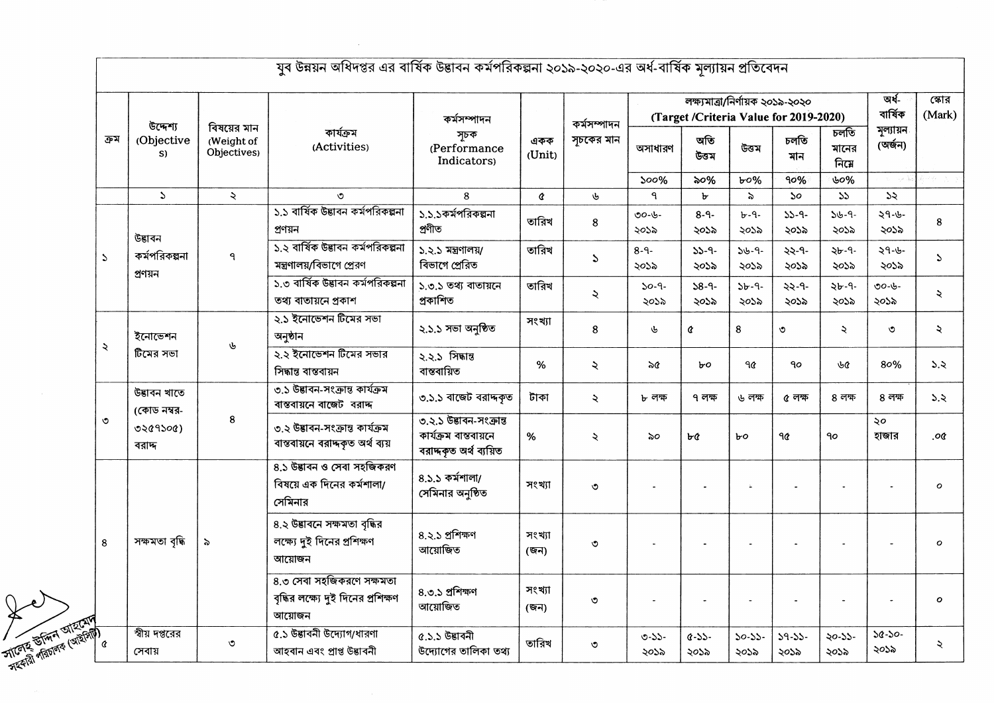| ক্ৰম                          | উদ্দেশ্য                    | বিষয়ের মান<br>(Weight of<br>Objectives) | কাৰ্যক্ৰম<br>(Activities)                                                  | কৰ্মসম্পাদন<br>সূচক<br>(Performance<br>Indicators)                         | একক<br>(Unit)  | কর্মসম্পাদন<br>সূচকের মান |                    | লক্ষ্যমাত্ৰা/নিৰ্ণায়ক ২০১৯-২০২০<br>(Target /Criteria Value for 2019-2020) | অৰ্ধ-<br>বাৰ্ষিক    | সোর<br>(Mark)               |                       |                      |               |
|-------------------------------|-----------------------------|------------------------------------------|----------------------------------------------------------------------------|----------------------------------------------------------------------------|----------------|---------------------------|--------------------|----------------------------------------------------------------------------|---------------------|-----------------------------|-----------------------|----------------------|---------------|
|                               | (Objective<br>S)            |                                          |                                                                            |                                                                            |                |                           | অসাধারণ            | অতি<br>উত্তম                                                               | উত্তম               | চলতি<br>মান                 | চলতি<br>মানের<br>নিমে | মূল্যায়ন<br>(অৰ্জন) |               |
|                               |                             |                                          |                                                                            |                                                                            |                |                           | 500%               | ৯০%                                                                        | b0%                 | 90%                         | ৬০%                   |                      |               |
|                               | $\Delta$                    | $\lambda$                                | ৩                                                                          | 8                                                                          | ¢              | ৬                         | ٩                  | ৮                                                                          | $\approx$           | $\mathcal{S}^{\mathcal{O}}$ | 55                    | 55                   |               |
|                               | উদ্ভাবন                     |                                          | ১.১ বার্ষিক উদ্ভাবন কর্মপরিকল্পনা<br>প্ৰণয়ন                               | ১.১.১কর্মপরিকল্পনা<br>প্ৰণীত                                               | তারিখ          | 8                         | ৩০-৬-<br>২০১৯      | $8 - 9 -$<br>২০১৯                                                          | $b - 9 -$<br>২০১৯   | $33 - 9 -$<br>২০১৯          | $36 - 9 -$<br>২০১৯    | ২৭-৬-<br>২০১৯        | 8             |
| $\mathcal{L}$                 | কর্মপরিকল্পনা<br>প্ৰণয়ন    | ٩                                        | ১.২ বার্ষিক উদ্ভাবন কর্মপরিকল্পনা<br>মন্ত্রণালয়/বিভাগে প্রেরণ             | ১.২.১ মন্ত্ৰণালয়/<br>বিভাগে প্ৰেরিত                                       | তারিখ          | $\mathcal{L}$             | $8 - 9 -$<br>২০১৯  | $33 - 9 -$<br>২০১৯                                                         | $36 - 9 -$<br>২০১৯  | ২২-৭-<br>২০১৯               | $2b - 9 -$<br>২০১৯    | $29 - 6 -$<br>২০১৯   | $\mathcal{L}$ |
|                               |                             |                                          | ১.৩ বাৰ্ষিক উদ্ভাবন কৰ্মপৱিকল্পনা<br>তথ্য বাতায়নে প্ৰকাশ                  | ১.৩.১ তথ্য বাতায়নে<br>প্ৰকাশিত                                            | তারিখ          | ২                         | $30 - 9 -$<br>২০১৯ | $38 - 9 -$<br>২০১৯                                                         | $3b - 9 -$<br>২০১৯  | $22 - 9 -$<br>২০১৯          | ২৮-৭-<br>২০১৯         | ৩০-৬-<br>২০১৯        | ২             |
| ২                             | ইনোভেশন                     | ৬                                        | ২.১ ইনোভেশন টিমের সভা<br>অনুষ্ঠান                                          | ২.১.১ সভা অনুষ্ঠিত                                                         | সংখ্যা         | 8                         | ৬                  | ¢                                                                          | 8                   | ৩                           | ₹                     | ৩                    | $\lambda$     |
|                               | টিমের সভা                   |                                          | ২.২ ইনোভেশন টিমের সভার<br>সিদ্ধান্ত বান্তবায়ন                             | ২.২.১ সিদ্ধান্ত<br>বান্তবায়িত                                             | %              | ২                         | ৯৫                 | ৮০                                                                         | ৭৫                  | $90^{\circ}$                | ৬৫                    | 80%                  | 5.5           |
|                               | উদ্ভাবন খাতে<br>(কোড নম্বর- |                                          | ৩.১ উদ্ভাবন-সংক্রান্ত কার্যক্রম<br>বাস্তবায়নে বাজেট বরাদ্দ                | ৩.১.১ বাজেট বরাদ্দকৃত                                                      | টাকা           | ₹                         | ৮ লক্ষ             | ৭ লক্ষ                                                                     | ৬ লক্ষ              | ৫ লক্ষ                      | ৪ লক্ষ                | $8$ লক্ষ             | 5.5           |
| $\circ$                       | 0209500<br>বরাদ             | 8                                        | ৩.২ উদ্ভাবন-সংক্ৰান্ত কাৰ্যক্ৰম<br>বাস্তবায়নে বরাদ্দকৃত অর্থ ব্যয়        | ৩.২.১ উদ্ভাবন-সংক্রান্ত<br>কাৰ্যক্ৰম বাস্তবায়নে<br>বরাদ্দকৃত অর্থ ব্যয়িত | $\%$           | ₹                         | ৯০                 | ৮৫                                                                         | $b$ o               | 90                          | 90                    | ২০<br>হাজার          | .oc           |
|                               |                             |                                          | 8.১ উদ্ভাবন ও সেবা সহজিকরণ<br>বিষয়ে এক দিনের কর্মশালা/<br>সেমিনার         | $8.5.5$ কর্মশালা/<br>সেমিনার অনুষ্ঠিত                                      | সংখ্যা         | $\circ$                   |                    |                                                                            | $\sim$              |                             |                       |                      | $\mathbf{o}$  |
| 8                             | সক্ষমতা বৃদ্ধি              | $\ddot{\phantom{0}}$                     | ৪.২ উদ্ভাবনে সক্ষমতা বৃদ্ধির<br>লক্ষ্যে দুই দিনের প্রশিক্ষণ<br>আয়োজন      | 8.২.১ প্ৰশিক্ষণ<br>আয়োজিত                                                 | সংখ্যা<br>(জন) | $\circ$                   |                    |                                                                            |                     |                             |                       |                      | $\mathbf o$   |
|                               |                             |                                          | ৪.৩ সেবা সহজিকরণে সক্ষমতা<br>বৃদ্ধির লক্ষ্যে দুই দিনের প্রশিক্ষণ<br>আয়োজন | 8.৩.১ প্রশিক্ষণ<br>আয়োজিত                                                 | সংখ্যা<br>(জন) | ৩                         |                    |                                                                            |                     |                             |                       |                      | $\mathbf o$   |
| <b>STICKER STATE OFFICERS</b> | স্বীয় দপ্তরের<br>সেবায়    | $\circ$                                  | ৫.১ উদ্ভাবনী উদ্যোগ/ধারণা<br>আহবান এবং প্ৰাপ্ত উদ্ভাবনী                    | ৫.১.১ উদ্ভাবনী<br>উদ্যোগের তালিকা তথ্য                                     | তারিখ          | $\circ$                   | $0 - 55 -$<br>২০১৯ | $Q-S-S$ -<br>২০১৯                                                          | $50 - 55 -$<br>২০১৯ | $39 - 33 -$<br>২০১৯         | $20 - 33 -$<br>২০১৯   | $30 - 50 -$<br>২০১৯  | ₹             |

 $\label{eq:2.1} \mathcal{L}(\mathcal{L}^{\text{max}}_{\mathcal{L}}(\mathcal{L}^{\text{max}}_{\mathcal{L}}))\leq \mathcal{L}(\mathcal{L}^{\text{max}}_{\mathcal{L}}(\mathcal{L}^{\text{max}}_{\mathcal{L}}))$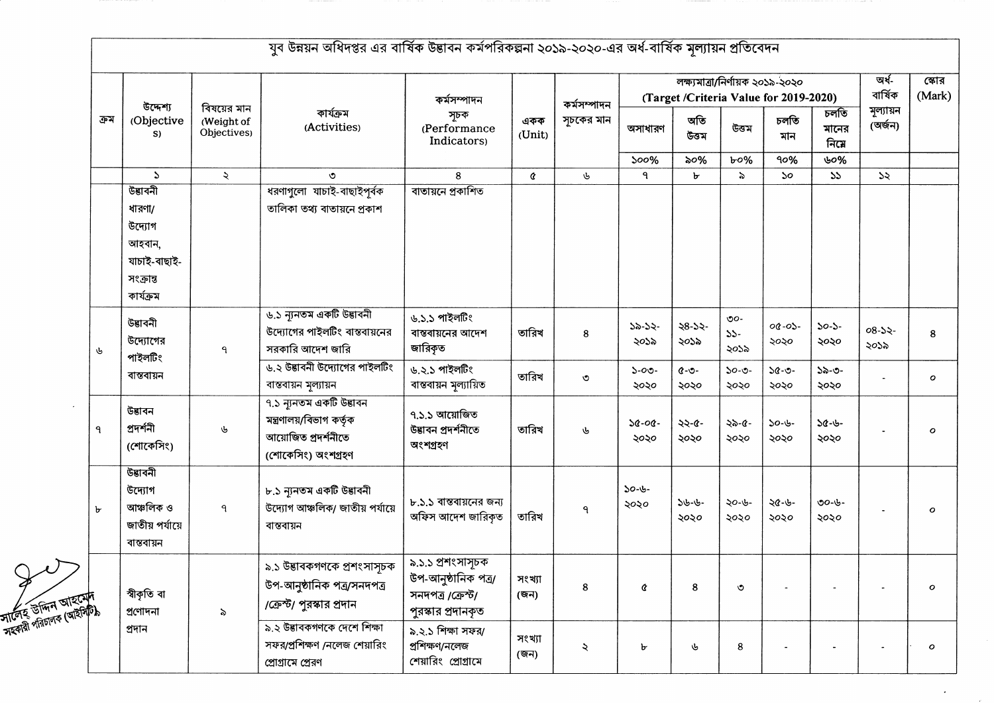|                                              |                                                                                  |                                          |                                                                                                   | কৰ্মসম্পাদন                                                                         |                | কৰ্মসম্পাদন          | লক্ষ্যমাত্রা/নির্ণায়ক ২০১৯-২০২০<br>(Target /Criteria Value for 2019-2020) |                     |                                   |                             |                       | অৰ্ধ-<br>বাৰ্ষিক     | স্কোর<br>(Mark) |
|----------------------------------------------|----------------------------------------------------------------------------------|------------------------------------------|---------------------------------------------------------------------------------------------------|-------------------------------------------------------------------------------------|----------------|----------------------|----------------------------------------------------------------------------|---------------------|-----------------------------------|-----------------------------|-----------------------|----------------------|-----------------|
| ক্ৰম                                         | উদ্দেশ্য<br>(Objective<br>S)                                                     | বিষয়ের মান<br>(Weight of<br>Objectives) | কাৰ্যক্ৰম<br>(Activities)                                                                         | সূচক<br>(Performance<br>Indicators)                                                 | একক<br>(Unit)  | সূচকের মান           | অসাধারণ                                                                    | অতি<br>উত্তম        | উত্তম                             | চলতি<br>মান                 | চলতি<br>মানের<br>নিমে | মূল্যায়ন<br>(অৰ্জন) |                 |
|                                              |                                                                                  |                                          |                                                                                                   |                                                                                     |                |                      | $500\%$                                                                    | ৯০%                 | $b$ 0%                            | 90%                         | ৬০%                   |                      |                 |
|                                              | $\mathbf{r}$                                                                     | $\mathbf{z}$                             | $\circ$                                                                                           | 8                                                                                   | ¢              | ৬                    | ٩                                                                          | ь                   | $\epsilon$                        | $\mathcal{S}^{\mathcal{O}}$ | 55                    | $\mathcal{Z}$        |                 |
|                                              | উদ্ভাবনী<br>ধারণা/<br>উদ্যোগ<br>আহবান,<br>যাচাই-বাছাই-<br>সংক্রান্ত<br>কাৰ্যক্ৰম |                                          | ধরণাগুলো যাচাই-বাছাইপূর্বক<br>তালিকা তথ্য বাতায়নে প্রকাশ                                         | বাতায়নে প্রকাশিত                                                                   |                |                      |                                                                            |                     |                                   |                             |                       |                      |                 |
| ৬                                            | উত্তাবনী<br>উদ্যোগের<br>পাইলটিং                                                  | ٩                                        | ৬.১ ন্যূনতম একটি উদ্ভাবনী<br>উদ্যোগের পাইলটিং বাস্তবায়নের<br>সরকারি আদেশ জারি                    | ৬.১.১ পাইলটিং<br>বাস্তবায়নের আদেশ<br>জারিকৃত                                       | তারিখ          | 8                    | $32-32-$<br>২০১৯                                                           | $28 - 52 -$<br>২০১৯ | $\mathcal{O}O -$<br>$33-$<br>২০১৯ | $00 - 05 -$<br>২০২০         | $30 - 3 -$<br>২০২০    | $08-32-$<br>২০১৯     | 8               |
|                                              | বান্তবায়ন                                                                       |                                          | ৬.২ উদ্ভাবনী উদ্যোগের পাইলটিং<br>বাস্তবায়ন মূল্যায়ন                                             | ৬.২.১ পাইলটিং<br>বাস্তবায়ন মূল্যায়িত                                              | তারিখ          | ৩                    | $5 - 00 -$<br>২০২০                                                         | $Q - Q -$<br>২০২০   | $50 - 0 -$<br>২০২০                | $30 - 0 -$<br>২০২০          | $52 - 0 -$<br>২০২০    |                      | $\mathbf{o}$    |
| ٩                                            | উদ্ভাবন<br>প্ৰদৰ্শনী<br>(শোকেসিং)                                                | ৬                                        | ৭.১ ন্যূনতম একটি উদ্ভাবন<br>মন্ত্ৰণালয়/বিভাগ কৰ্তৃক<br>আয়োজিত প্ৰদৰ্শনীতে<br>(শোকেসিং) অংশগ্ৰহণ | ৭.১.১ আয়োজিত<br>উদ্ভাবন প্ৰদৰ্শনীতে<br>অংশগ্ৰহণ                                    | তারিখ          | ৬                    | $30 - 00 -$<br>২০২০                                                        | $22 - 6 -$<br>২০২০  | ২৯-৫-<br>২০২০                     | $30 - 6 -$<br>২০২০          | $38 - 6 -$<br>২০২০    |                      | о               |
| $\mathbf{b}$                                 | উত্তাবনী<br>উদ্যোগ<br>আঞ্চলিক ও<br>জাতীয় পর্যায়ে<br>বান্তবায়ন                 | $\mathsf{P}$                             | ৮.১ ন্যুনতম একটি উদ্ভাবনী<br>উদ্যোগ আঞ্চলিক/ জাতীয় পর্যায়ে<br>বান্তবায়ন                        | ৮.১.১ বাস্তবায়নের জন্য<br>অফিস আদেশ জারিকৃত                                        | তারিখ          | $\mathsf{P}$         | $30 - 6 -$<br>২০২০                                                         | $36 - 6 -$<br>২০২০  | ২০-৬-<br>২০২০                     | ২৫-৬-<br>২০২০               | ৩০-৬-<br>২০২০         |                      | $\mathbf o$     |
| সার্টেহ উদ্দিন আহমেদ<br>সার্টেহ উদ্দিন আহমেদ | স্বীকৃতি বা<br>প্ৰণোদনা                                                          | $\geqslant$                              | ৯.১ উদ্ভাবকগণকে প্রশংসাসূচক<br>উপ-আনুষ্ঠানিক পত্র/সনদপত্র<br>/ক্রেস্ট/ পুরস্কার প্রদান            | ৯.১.১ প্রশংসাসূচক<br>উপ-আনুষ্ঠানিক পত্ৰ/<br>সনদপত্ৰ /ক্ৰেস্ট/<br>পুরস্কার প্রদানকৃত | সংখ্যা<br>(জন) | 8                    | ¢                                                                          | $\bf8$              | ৩                                 |                             |                       |                      | $\mathbf{o}$    |
|                                              | প্ৰদান                                                                           |                                          | ৯.২ উদ্ভাবকগণকে দেশে শিক্ষা<br>সফর/প্রশিক্ষণ /নলেজ শেয়ারিং<br>প্রোগ্রামে প্রেরণ                  | ৯.২.১ শিক্ষা সফর/<br>প্ৰশিক্ষণ/নলেজ<br>শেয়ারিং প্রোগ্রামে                          | সংখ্যা<br>(জন) | $\boldsymbol{\zeta}$ | ৮                                                                          | ىل                  | 8                                 |                             |                       |                      | $\mathbf{o}$    |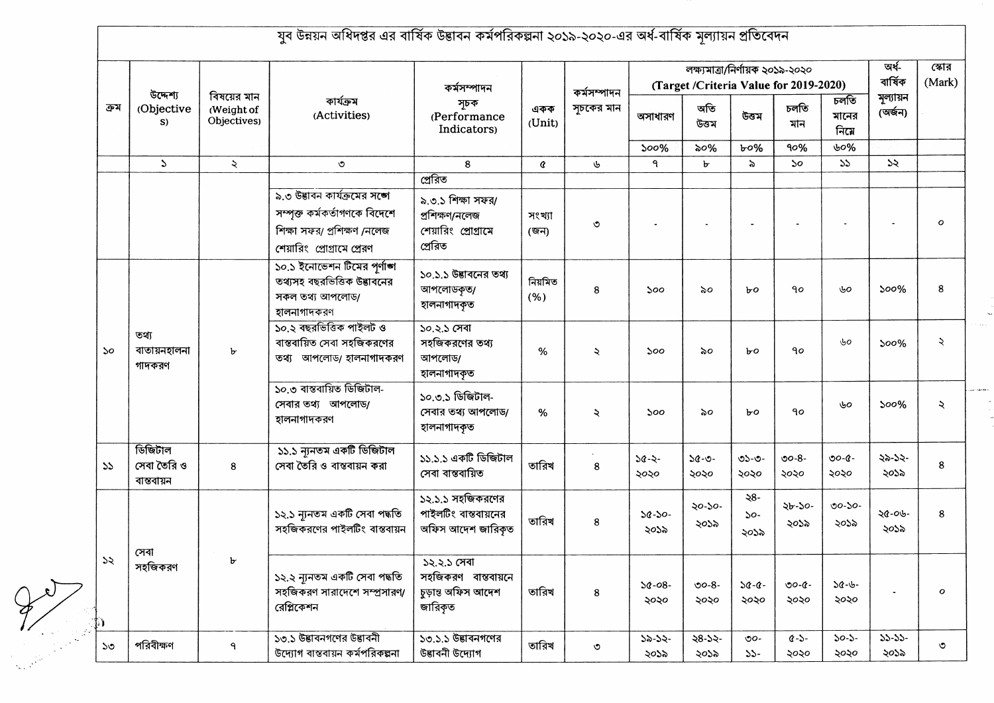|      | উদ্দেশ্য<br>(Objective<br>S)         | বিষয়ের মান<br>(Weight of<br>Objectives) | কাৰ্যক্ৰম<br>(Activities)                                                                                                   | কৰ্মসম্পাদন<br>সূচক<br>(Performance<br>Indicators)                    | একক<br>(Unit)   | কর্মসম্পাদন<br>সূচকের মান | লক্ষ্যমাত্ৰা/নিৰ্ণায়ক ২০১৯-২০২০<br>(Target /Criteria Value for 2019-2020) |                     |                       |                             |                       | অৰ্ধ-<br>বাৰ্ষিক     | স্কোর<br>(Mark)      |
|------|--------------------------------------|------------------------------------------|-----------------------------------------------------------------------------------------------------------------------------|-----------------------------------------------------------------------|-----------------|---------------------------|----------------------------------------------------------------------------|---------------------|-----------------------|-----------------------------|-----------------------|----------------------|----------------------|
| ক্রম |                                      |                                          |                                                                                                                             |                                                                       |                 |                           | অসাধারণ                                                                    | অতি<br>উত্তম        | উত্তম                 | চলতি<br>মান                 | চলতি<br>মানের<br>নিমে | মূল্যায়ন<br>(অৰ্জন) |                      |
|      |                                      |                                          |                                                                                                                             |                                                                       |                 |                           | 500%                                                                       | ৯০%                 | b0%                   | 90%                         | ৬০%                   |                      |                      |
|      | $\mathcal{L}$                        | $\ddot{\mathcal{L}}$                     | $\circ$                                                                                                                     | 8                                                                     | ¢               | ৬                         | ٩                                                                          | $\mathbf{r}$        | $\delta$              | $\mathcal{S}^{\mathcal{O}}$ | 55                    | 55                   |                      |
|      |                                      |                                          |                                                                                                                             | প্ৰেরিত                                                               |                 |                           |                                                                            |                     |                       |                             |                       |                      |                      |
|      |                                      |                                          | ৯.৩ উদ্ভাবন কার্যক্রমের সঙ্গে<br>সম্পুক্ত কৰ্মকৰ্তাগণকে বিদেশে<br>শিক্ষা সফর/ প্রশিক্ষণ /নলেজ<br>শেয়ারিং প্রোগ্রামে প্রেরণ | ৯.৩.১ শিক্ষা সফর/<br>প্ৰশিক্ষণ/নলেজ<br>শেয়ারিং প্রোগ্রামে<br>প্ৰেরিত | সংখ্যা<br>(জন)  | $\circ$                   |                                                                            |                     |                       |                             |                       |                      | $\mathcal{O}$        |
|      |                                      |                                          | ১০.১ ইনোভেশন টিমের পর্ণাঙ্গ<br>তথ্যসহ বছরভিত্তিক উদ্ভাবনের<br>সকল তথ্য আপলোড/<br>হালনাগাদকরণ                                | ১০.১.১ উদ্ভাবনের তথ্য<br>আপলোডকৃত/<br>হালনাগাদকৃত                     | নিয়মিত<br>(% ) | 8                         | ১০০                                                                        | ৯০                  | $b$ o                 | $90^{\circ}$                | ৬০                    | 500%                 | 8                    |
| 50   | তথ্য<br>বাতায়নহালনা<br>গাদকরণ       | ৮                                        | ১০.২ বছরভিত্তিক পাইলট ও<br>বাস্তবায়িত সেবা সহজিকরণের<br>তথ্য আপলোড/ হালনাগাদকরণ                                            | ১০.২.১ সেবা<br>সহজিকরণের তথ্য<br>আপলোড/<br>হালনাগাদকত                 | %               | ২                         | 500                                                                        | ৯০                  | ЪO                    | 90                          | ৬০                    | $500\%$              | $\ddot{\mathcal{L}}$ |
|      |                                      |                                          | ১০.৩ ৰাস্তবায়িত ডিজিটাল-<br>সেবার তথ্য আপলোড/<br>হালনাগাদকরণ                                                               | ১০.৩.১ ডিজিটাল-<br>সেবার তথ্য আপলোড/<br>হালনাগাদকৃত                   | %               | $\ddot{\mathbf{z}}$       | ১০০                                                                        | ৯০                  | bo                    | $90^{\circ}$                | ৬০                    | $500\%$              | $\lambda$            |
| 55   | ডিজিটাল<br>সেবা তৈরি ও<br>বান্তবায়ন | 8                                        | ১১.১ ন্যুনতম একটি ডিজিটাল<br>সেবা তৈরি ও বাস্তবায়ন করা                                                                     | ১১.১.১ একটি ডিজিটাল<br>সেবা বাস্তবায়িত                               | তারিখ           | 8                         | $38 - 3 -$<br>২০২০                                                         | $30 - 0 -$<br>২০২০  | ৩১-৩-<br>২০২০         | $00 - 8 -$<br>২০২০          | ৩০-৫-<br>২০২০         | ২৯-১২-<br>২০১৯       | 8                    |
|      |                                      |                                          | ১২.১ ন্যনতম একটি সেবা পদ্ধতি<br>সহজিকরণের পাইলটিং বাস্তবায়ন                                                                | ১২.১.১ সহজিকরণের<br>পাইলটিং বাস্তবায়নের<br>অফিস আদেশ জারিকত          | তারিখ           | 8                         | $30 - 50 -$<br>২০১৯                                                        | ২০-১০-<br>২০১৯      | ২৪-<br>$50 -$<br>২০১৯ | ২৮-১০-<br>২০১৯              | $00 - 50 -$<br>২০১৯   | ২৫-০৬-<br>২০১৯       | 8                    |
| 55   | সেবা<br>সহজিকরণ                      |                                          | ১২.২ ন্যনতম একটি সেবা পদ্ধতি<br>সহজিকরণ সারাদেশে সম্প্রসারণ/<br>রেপ্লিকেশন                                                  | ১২.২.১ সেবা<br>সহজিকরণ বাস্তবায়নে<br>চুড়ান্ত অফিস আদেশ<br>জারিকৃত   | তারিখ           | 8                         | $30 - 08 -$<br>২০২০                                                        | $00 - 8 -$<br>২০২০  | $30 - 0 -$<br>২০২০    | $0 - 0 -$<br>২০২০           | $30 - 6 -$<br>২০২০    |                      | $\mathbf{o}$         |
| ১৩   | পরিবীক্ষণ                            | ٩                                        | ১৩.১ উদ্ভাবনগণের উদ্ভাবনী<br>উদ্যোগ বাস্তবায়ন কর্মপরিকল্পনা                                                                | ১৩.১.১ উদ্ভাবনগণের<br>উদ্ভাবনী উদ্যোগ                                 | তারিখ           | $\circ$                   | $32-32-$<br>২০১৯                                                           | $38 - 52 -$<br>২০১৯ | $\circ$<br>$55 -$     | $Q - 5 -$<br>২০২০           | $50-5-$<br>২০২০       | $35 - 35 -$<br>২০১৯  | ৩                    |